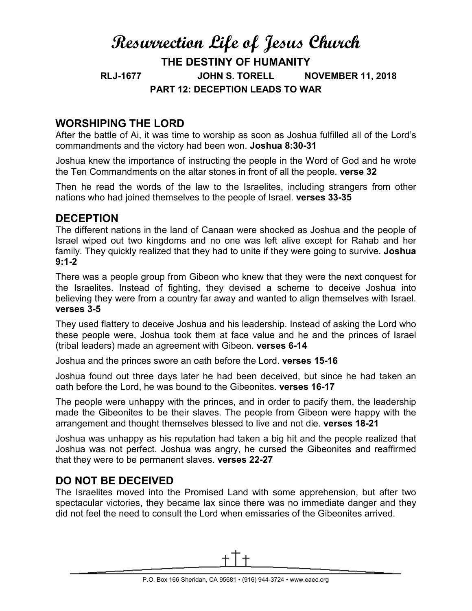# **Resurrection Life of Jesus Church THE DESTINY OF HUMANITY RLJ-1677 JOHN S. TORELL NOVEMBER 11, 2018 PART 12: DECEPTION LEADS TO WAR**

## **WORSHIPING THE LORD**

After the battle of Ai, it was time to worship as soon as Joshua fulfilled all of the Lord's commandments and the victory had been won. **Joshua 8:30-31**

Joshua knew the importance of instructing the people in the Word of God and he wrote the Ten Commandments on the altar stones in front of all the people. **verse 32**

Then he read the words of the law to the Israelites, including strangers from other nations who had joined themselves to the people of Israel. **verses 33-35**

### **DECEPTION**

The different nations in the land of Canaan were shocked as Joshua and the people of Israel wiped out two kingdoms and no one was left alive except for Rahab and her family. They quickly realized that they had to unite if they were going to survive. **Joshua 9:1-2**

There was a people group from Gibeon who knew that they were the next conquest for the Israelites. Instead of fighting, they devised a scheme to deceive Joshua into believing they were from a country far away and wanted to align themselves with Israel. **verses 3-5**

They used flattery to deceive Joshua and his leadership. Instead of asking the Lord who these people were, Joshua took them at face value and he and the princes of Israel (tribal leaders) made an agreement with Gibeon. **verses 6-14**

Joshua and the princes swore an oath before the Lord. **verses 15-16**

Joshua found out three days later he had been deceived, but since he had taken an oath before the Lord, he was bound to the Gibeonites. **verses 16-17**

The people were unhappy with the princes, and in order to pacify them, the leadership made the Gibeonites to be their slaves. The people from Gibeon were happy with the arrangement and thought themselves blessed to live and not die. **verses 18-21**

Joshua was unhappy as his reputation had taken a big hit and the people realized that Joshua was not perfect. Joshua was angry, he cursed the Gibeonites and reaffirmed that they were to be permanent slaves. **verses 22-27**

# **DO NOT BE DECEIVED**

The Israelites moved into the Promised Land with some apprehension, but after two spectacular victories, they became lax since there was no immediate danger and they did not feel the need to consult the Lord when emissaries of the Gibeonites arrived.